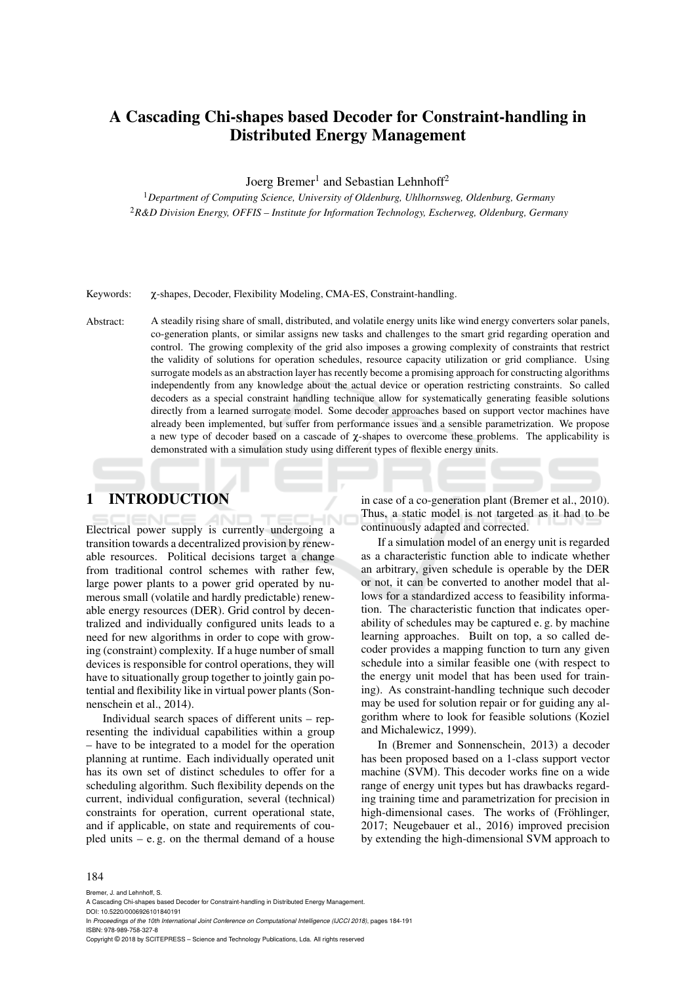## A Cascading Chi-shapes based Decoder for Constraint-handling in Distributed Energy Management

Joerg Bremer<sup>1</sup> and Sebastian Lehnhoff<sup>2</sup>

<sup>1</sup>*Department of Computing Science, University of Oldenburg, Uhlhornsweg, Oldenburg, Germany* <sup>2</sup>*R&D Division Energy, OFFIS – Institute for Information Technology, Escherweg, Oldenburg, Germany*

Keywords: χ-shapes, Decoder, Flexibility Modeling, CMA-ES, Constraint-handling.

Abstract: A steadily rising share of small, distributed, and volatile energy units like wind energy converters solar panels, co-generation plants, or similar assigns new tasks and challenges to the smart grid regarding operation and control. The growing complexity of the grid also imposes a growing complexity of constraints that restrict the validity of solutions for operation schedules, resource capacity utilization or grid compliance. Using surrogate models as an abstraction layer has recently become a promising approach for constructing algorithms independently from any knowledge about the actual device or operation restricting constraints. So called decoders as a special constraint handling technique allow for systematically generating feasible solutions directly from a learned surrogate model. Some decoder approaches based on support vector machines have already been implemented, but suffer from performance issues and a sensible parametrization. We propose a new type of decoder based on a cascade of  $\chi$ -shapes to overcome these problems. The applicability is demonstrated with a simulation study using different types of flexible energy units.

## 1 INTRODUCTION

Electrical power supply is currently undergoing a transition towards a decentralized provision by renewable resources. Political decisions target a change from traditional control schemes with rather few, large power plants to a power grid operated by numerous small (volatile and hardly predictable) renewable energy resources (DER). Grid control by decentralized and individually configured units leads to a need for new algorithms in order to cope with growing (constraint) complexity. If a huge number of small devices is responsible for control operations, they will have to situationally group together to jointly gain potential and flexibility like in virtual power plants (Sonnenschein et al., 2014).

Individual search spaces of different units – representing the individual capabilities within a group – have to be integrated to a model for the operation planning at runtime. Each individually operated unit has its own set of distinct schedules to offer for a scheduling algorithm. Such flexibility depends on the current, individual configuration, several (technical) constraints for operation, current operational state, and if applicable, on state and requirements of coupled units – e. g. on the thermal demand of a house

in case of a co-generation plant (Bremer et al., 2010). Thus, a static model is not targeted as it had to be continuously adapted and corrected.

If a simulation model of an energy unit is regarded as a characteristic function able to indicate whether an arbitrary, given schedule is operable by the DER or not, it can be converted to another model that allows for a standardized access to feasibility information. The characteristic function that indicates operability of schedules may be captured e. g. by machine learning approaches. Built on top, a so called decoder provides a mapping function to turn any given schedule into a similar feasible one (with respect to the energy unit model that has been used for training). As constraint-handling technique such decoder may be used for solution repair or for guiding any algorithm where to look for feasible solutions (Koziel and Michalewicz, 1999).

In (Bremer and Sonnenschein, 2013) a decoder has been proposed based on a 1-class support vector machine (SVM). This decoder works fine on a wide range of energy unit types but has drawbacks regarding training time and parametrization for precision in high-dimensional cases. The works of (Fröhlinger, 2017; Neugebauer et al., 2016) improved precision by extending the high-dimensional SVM approach to

#### 184

Bremer, J. and Lehnhoff, S.

DOI: 10.5220/0006926101840191

Copyright © 2018 by SCITEPRESS – Science and Technology Publications, Lda. All rights reserved

A Cascading Chi-shapes based Decoder for Constraint-handling in Distributed Energy Management.

In *Proceedings of the 10th International Joint Conference on Computational Intelligence (IJCCI 2018)*, pages 184-191 ISBN: 978-989-758-327-8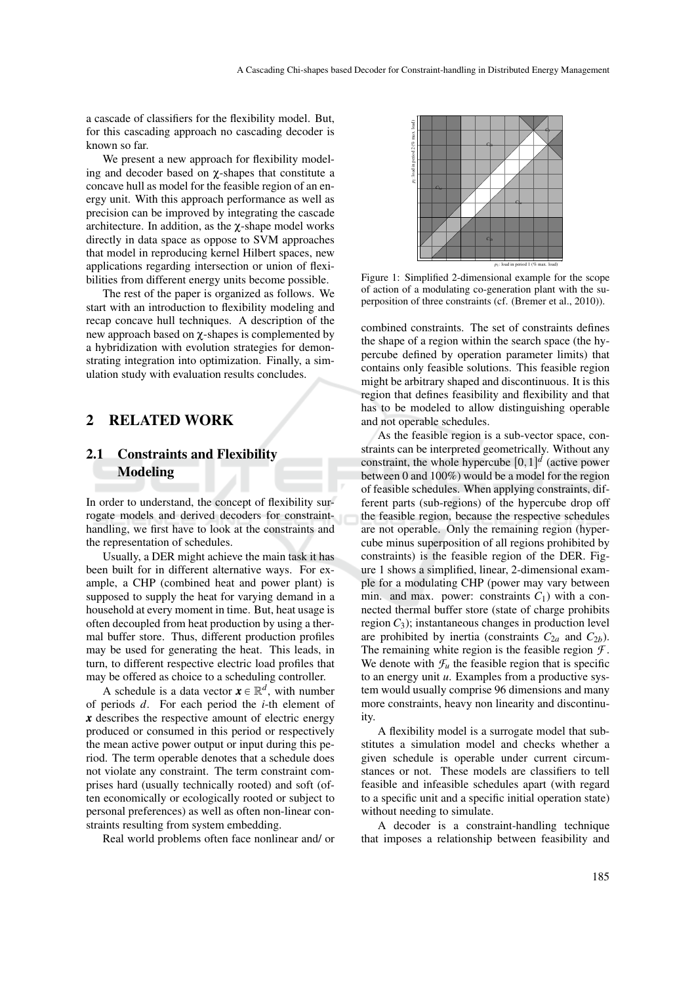a cascade of classifiers for the flexibility model. But, for this cascading approach no cascading decoder is known so far.

We present a new approach for flexibility modeling and decoder based on χ-shapes that constitute a concave hull as model for the feasible region of an energy unit. With this approach performance as well as precision can be improved by integrating the cascade architecture. In addition, as the χ-shape model works directly in data space as oppose to SVM approaches that model in reproducing kernel Hilbert spaces, new applications regarding intersection or union of flexibilities from different energy units become possible.

The rest of the paper is organized as follows. We start with an introduction to flexibility modeling and recap concave hull techniques. A description of the new approach based on χ-shapes is complemented by a hybridization with evolution strategies for demonstrating integration into optimization. Finally, a simulation study with evaluation results concludes.

### 2 RELATED WORK

## 2.1 Constraints and Flexibility Modeling

In order to understand, the concept of flexibility surrogate models and derived decoders for constrainthandling, we first have to look at the constraints and the representation of schedules.

Usually, a DER might achieve the main task it has been built for in different alternative ways. For example, a CHP (combined heat and power plant) is supposed to supply the heat for varying demand in a household at every moment in time. But, heat usage is often decoupled from heat production by using a thermal buffer store. Thus, different production profiles may be used for generating the heat. This leads, in turn, to different respective electric load profiles that may be offered as choice to a scheduling controller.

A schedule is a data vector  $\mathbf{x} \in \mathbb{R}^d$ , with number of periods *d*. For each period the *i*-th element of *x* describes the respective amount of electric energy produced or consumed in this period or respectively the mean active power output or input during this period. The term operable denotes that a schedule does not violate any constraint. The term constraint comprises hard (usually technically rooted) and soft (often economically or ecologically rooted or subject to personal preferences) as well as often non-linear constraints resulting from system embedding.

Real world problems often face nonlinear and/ or



Figure 1: Simplified 2-dimensional example for the scope of action of a modulating co-generation plant with the superposition of three constraints (cf. (Bremer et al., 2010)).

combined constraints. The set of constraints defines the shape of a region within the search space (the hypercube defined by operation parameter limits) that contains only feasible solutions. This feasible region might be arbitrary shaped and discontinuous. It is this region that defines feasibility and flexibility and that has to be modeled to allow distinguishing operable and not operable schedules.

As the feasible region is a sub-vector space, constraints can be interpreted geometrically. Without any constraint, the whole hypercube  $[0,1]^d$  (active power between 0 and 100%) would be a model for the region of feasible schedules. When applying constraints, different parts (sub-regions) of the hypercube drop off the feasible region, because the respective schedules are not operable. Only the remaining region (hypercube minus superposition of all regions prohibited by constraints) is the feasible region of the DER. Figure 1 shows a simplified, linear, 2-dimensional example for a modulating CHP (power may vary between min. and max. power: constraints  $C_1$ ) with a connected thermal buffer store (state of charge prohibits region  $C_3$ ); instantaneous changes in production level are prohibited by inertia (constraints  $C_{2a}$  and  $C_{2b}$ ). The remaining white region is the feasible region  $\mathcal{F}$ . We denote with  $\mathcal{F}_u$  the feasible region that is specific to an energy unit *u*. Examples from a productive system would usually comprise 96 dimensions and many more constraints, heavy non linearity and discontinuity.

A flexibility model is a surrogate model that substitutes a simulation model and checks whether a given schedule is operable under current circumstances or not. These models are classifiers to tell feasible and infeasible schedules apart (with regard to a specific unit and a specific initial operation state) without needing to simulate.

A decoder is a constraint-handling technique that imposes a relationship between feasibility and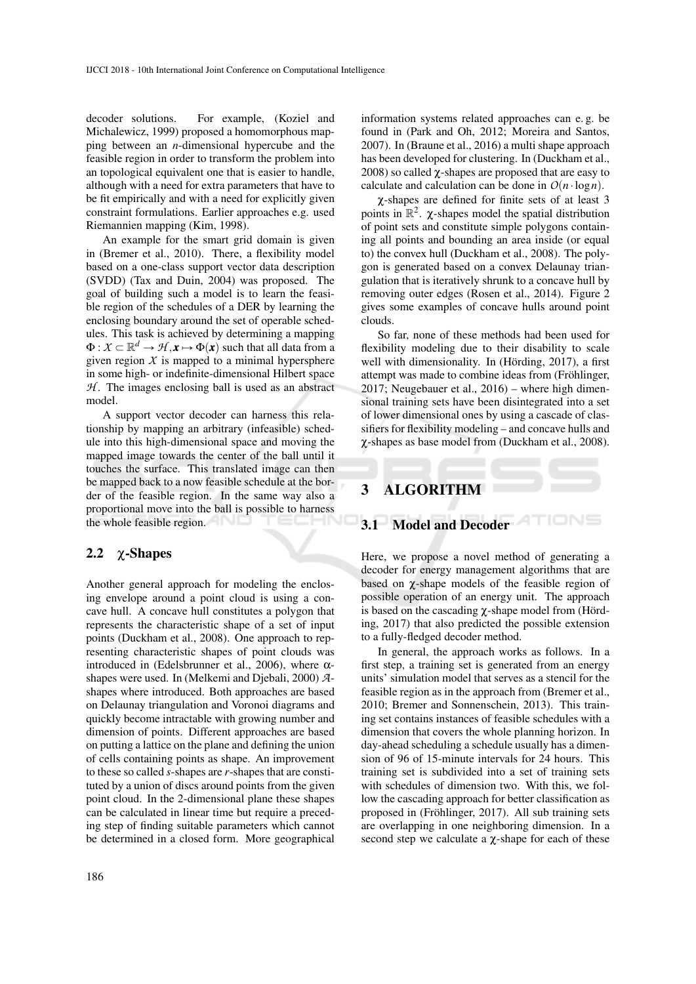decoder solutions. For example, (Koziel and Michalewicz, 1999) proposed a homomorphous mapping between an *n*-dimensional hypercube and the feasible region in order to transform the problem into an topological equivalent one that is easier to handle, although with a need for extra parameters that have to be fit empirically and with a need for explicitly given constraint formulations. Earlier approaches e.g. used Riemannien mapping (Kim, 1998).

An example for the smart grid domain is given in (Bremer et al., 2010). There, a flexibility model based on a one-class support vector data description (SVDD) (Tax and Duin, 2004) was proposed. The goal of building such a model is to learn the feasible region of the schedules of a DER by learning the enclosing boundary around the set of operable schedules. This task is achieved by determining a mapping  $\Phi: X \subset \mathbb{R}^d \to \mathcal{H}, \mathbf{x} \mapsto \Phi(\mathbf{x})$  such that all data from a given region  $X$  is mapped to a minimal hypersphere in some high- or indefinite-dimensional Hilbert space  $H$ . The images enclosing ball is used as an abstract model.

A support vector decoder can harness this relationship by mapping an arbitrary (infeasible) schedule into this high-dimensional space and moving the mapped image towards the center of the ball until it touches the surface. This translated image can then be mapped back to a now feasible schedule at the border of the feasible region. In the same way also a proportional move into the ball is possible to harness the whole feasible region.

### 2.2 χ-Shapes

Another general approach for modeling the enclosing envelope around a point cloud is using a concave hull. A concave hull constitutes a polygon that represents the characteristic shape of a set of input points (Duckham et al., 2008). One approach to representing characteristic shapes of point clouds was introduced in (Edelsbrunner et al., 2006), where  $α$ shapes were used. In (Melkemi and Djebali, 2000) *A*shapes where introduced. Both approaches are based on Delaunay triangulation and Voronoi diagrams and quickly become intractable with growing number and dimension of points. Different approaches are based on putting a lattice on the plane and defining the union of cells containing points as shape. An improvement to these so called *s*-shapes are *r*-shapes that are constituted by a union of discs around points from the given point cloud. In the 2-dimensional plane these shapes can be calculated in linear time but require a preceding step of finding suitable parameters which cannot be determined in a closed form. More geographical

information systems related approaches can e. g. be found in (Park and Oh, 2012; Moreira and Santos, 2007). In (Braune et al., 2016) a multi shape approach has been developed for clustering. In (Duckham et al., 2008) so called χ-shapes are proposed that are easy to calculate and calculation can be done in  $O(n \cdot \log n)$ .

χ-shapes are defined for finite sets of at least 3 points in  $\mathbb{R}^2$ .  $\chi$ -shapes model the spatial distribution of point sets and constitute simple polygons containing all points and bounding an area inside (or equal to) the convex hull (Duckham et al., 2008). The polygon is generated based on a convex Delaunay triangulation that is iteratively shrunk to a concave hull by removing outer edges (Rosen et al., 2014). Figure 2 gives some examples of concave hulls around point clouds.

So far, none of these methods had been used for flexibility modeling due to their disability to scale well with dimensionality. In (Hörding, 2017), a first attempt was made to combine ideas from (Fröhlinger, 2017; Neugebauer et al., 2016) – where high dimensional training sets have been disintegrated into a set of lower dimensional ones by using a cascade of classifiers for flexibility modeling – and concave hulls and χ-shapes as base model from (Duckham et al., 2008).

# 3 ALGORITHM

3.1 Model and Decoder

Here, we propose a novel method of generating a decoder for energy management algorithms that are based on  $\gamma$ -shape models of the feasible region of possible operation of an energy unit. The approach is based on the cascading χ-shape model from (Hörding, 2017) that also predicted the possible extension to a fully-fledged decoder method.

In general, the approach works as follows. In a first step, a training set is generated from an energy units' simulation model that serves as a stencil for the feasible region as in the approach from (Bremer et al., 2010; Bremer and Sonnenschein, 2013). This training set contains instances of feasible schedules with a dimension that covers the whole planning horizon. In day-ahead scheduling a schedule usually has a dimension of 96 of 15-minute intervals for 24 hours. This training set is subdivided into a set of training sets with schedules of dimension two. With this, we follow the cascading approach for better classification as proposed in (Fröhlinger, 2017). All sub training sets are overlapping in one neighboring dimension. In a second step we calculate a  $\gamma$ -shape for each of these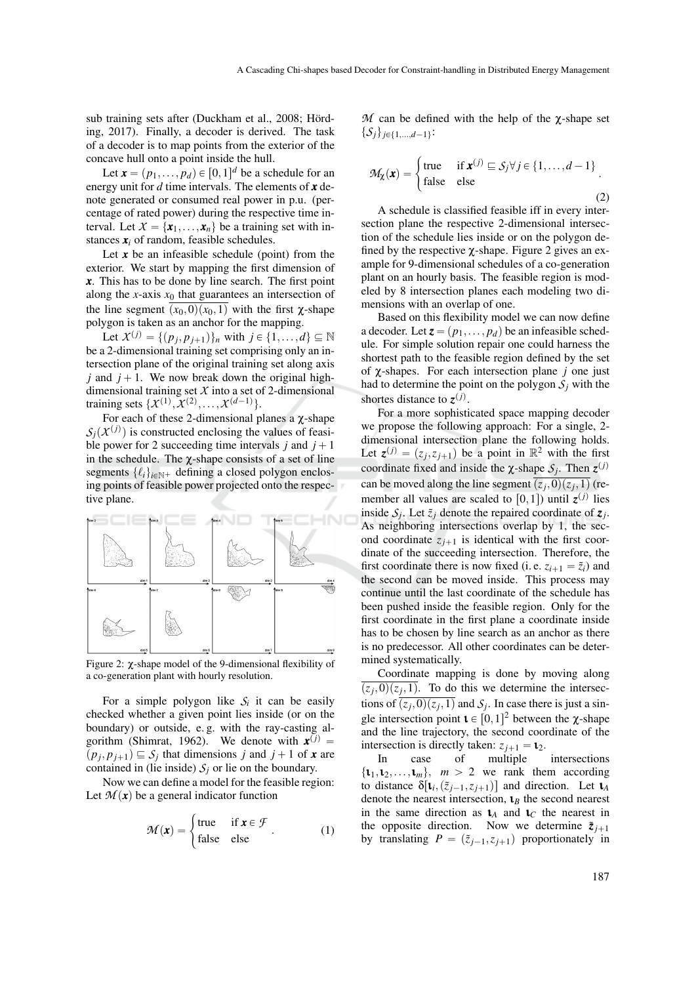sub training sets after (Duckham et al., 2008; Hörding, 2017). Finally, a decoder is derived. The task of a decoder is to map points from the exterior of the concave hull onto a point inside the hull.

Let  $\mathbf{x} = (p_1, \dots, p_d) \in [0,1]^d$  be a schedule for an energy unit for *d* time intervals. The elements of *x* denote generated or consumed real power in p.u. (percentage of rated power) during the respective time interval. Let  $X = \{x_1, \ldots, x_n\}$  be a training set with instances  $\mathbf{x}_i$  of random, feasible schedules.

Let  $x$  be an infeasible schedule (point) from the exterior. We start by mapping the first dimension of *x*. This has to be done by line search. The first point along the *x*-axis  $x_0$  that guarantees an intersection of the line segment  $(x_0,0)(x_0,1)$  with the first  $\chi$ -shape polygon is taken as an anchor for the mapping.

Let  $X^{(j)} = \{(p_j, p_{j+1})\}_n$  with  $j \in \{1, ..., d\} \subseteq \mathbb{N}$ be a 2-dimensional training set comprising only an intersection plane of the original training set along axis *j* and  $j + 1$ . We now break down the original highdimensional training set *X* into a set of 2-dimensional training sets  $\{X^{(1)}, X^{(2)}, \ldots, X^{(d-1)}\}$ .

For each of these 2-dimensional planes a χ-shape  $S_j(X^{(j)})$  is constructed enclosing the values of feasible power for 2 succeeding time intervals *j* and  $j + 1$ in the schedule. The  $\chi$ -shape consists of a set of line segments  $\{\ell_i\}_{i \in \mathbb{N}^+}$  defining a closed polygon enclosing points of feasible power projected onto the respective plane.



Figure 2: χ-shape model of the 9-dimensional flexibility of a co-generation plant with hourly resolution.

For a simple polygon like  $S_i$  it can be easily checked whether a given point lies inside (or on the boundary) or outside, e. g. with the ray-casting algorithm (Shimrat, 1962). We denote with  $\mathbf{x}^{(j)}$  =  $(p_j, p_{j+1}) \subseteq S_j$  that dimensions *j* and *j* + 1 of *x* are contained in (lie inside)  $S_j$  or lie on the boundary.

Now we can define a model for the feasible region: Let  $\mathcal{M}(x)$  be a general indicator function

$$
\mathcal{M}(\mathbf{x}) = \begin{cases} \text{true} & \text{if } \mathbf{x} \in \mathcal{F} \\ \text{false} & \text{else} \end{cases} \tag{1}
$$

 $M$  can be defined with the help of the  $χ$ -shape set  $\{\mathcal{S}_j\}_{j \in \{1,\dots,d-1\}}$ :

$$
\mathcal{M}_{\chi}(\mathbf{x}) = \begin{cases} \text{true} & \text{if } \mathbf{x}^{(j)} \sqsubseteq \mathcal{S}_j \forall j \in \{1, \dots, d-1\} \\ \text{false} & \text{else} \end{cases} \tag{2}
$$

A schedule is classified feasible iff in every intersection plane the respective 2-dimensional intersection of the schedule lies inside or on the polygon defined by the respective  $\chi$ -shape. Figure 2 gives an example for 9-dimensional schedules of a co-generation plant on an hourly basis. The feasible region is modeled by 8 intersection planes each modeling two dimensions with an overlap of one.

Based on this flexibility model we can now define a decoder. Let  $z = (p_1, \ldots, p_d)$  be an infeasible schedule. For simple solution repair one could harness the shortest path to the feasible region defined by the set of χ-shapes. For each intersection plane *j* one just had to determine the point on the polygon  $S_i$  with the shortes distance to  $z^{(j)}$ .

For a more sophisticated space mapping decoder we propose the following approach: For a single, 2 dimensional intersection plane the following holds. Let  $z^{(j)} = (z_j, z_{j+1})$  be a point in  $\mathbb{R}^2$  with the first coordinate fixed and inside the  $\chi$ -shape  $S_j$ . Then  $z^{(j)}$ can be moved along the line segment  $(z_j,0)(z_j,1)$  (remember all values are scaled to  $[0,1]$ ) until  $z^{(j)}$  lies inside  $S_j$ . Let  $\tilde{z}_j$  denote the repaired coordinate of  $z_j$ . As neighboring intersections overlap by 1, the second coordinate  $z_{i+1}$  is identical with the first coordinate of the succeeding intersection. Therefore, the first coordinate there is now fixed (i.e.  $z_{i+1} = \tilde{z}_i$ ) and the second can be moved inside. This process may continue until the last coordinate of the schedule has been pushed inside the feasible region. Only for the first coordinate in the first plane a coordinate inside has to be chosen by line search as an anchor as there is no predecessor. All other coordinates can be determined systematically.

Coordinate mapping is done by moving along  $(z_j,0)(z_j,1)$ . To do this we determine the intersections of  $(z_j, 0)(z_j, 1)$  and  $S_j$ . In case there is just a single intersection point  $\mathbf{1} \in [0,1]^2$  between the  $\chi$ -shape and the line trajectory, the second coordinate of the

intersection is directly taken:  $z_{j+1} = \mathbf{t}_2$ .<br>In case of multiple intersections  $\{\mathbf{t}_1, \mathbf{t}_2, \dots, \mathbf{t}_m\}, m > 2$  we rank them according to distance  $\delta[\mathbf{t}_i, (\tilde{z}_{j-1}, z_{j+1})]$  and direction. Let  $\mathbf{t}_A$ denote the nearest intersection, ι*<sup>B</sup>* the second nearest in the same direction as  $\mathbf{1}_A$  and  $\mathbf{1}_C$  the nearest in the opposite direction. Now we determine  $\tilde{z}_{j+1}$ by translating  $P = (\tilde{z}_{i-1}, z_{i+1})$  proportionately in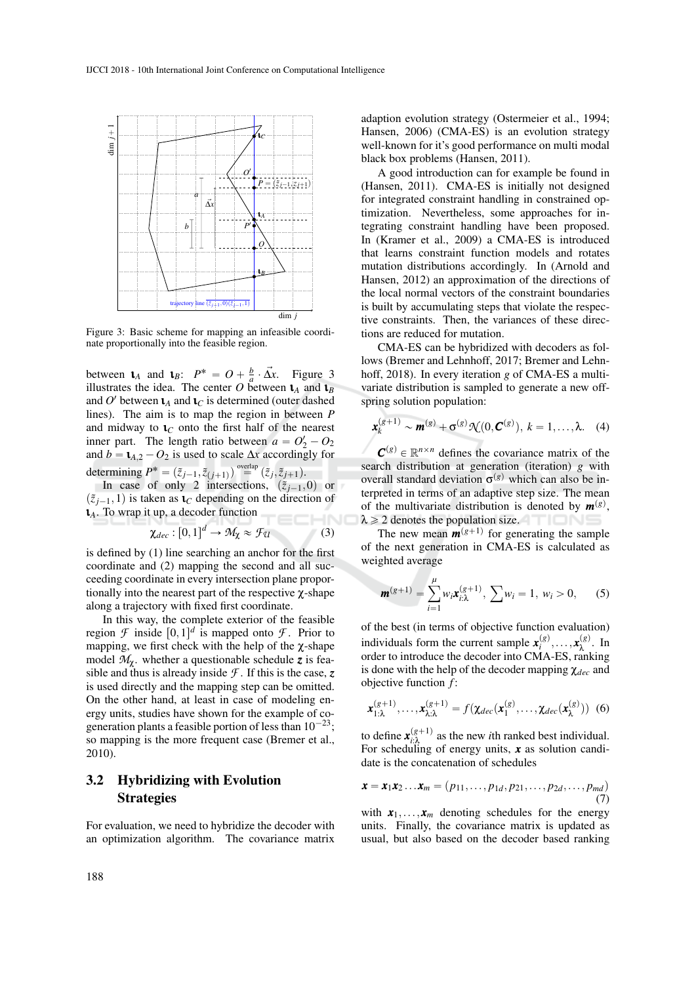

Figure 3: Basic scheme for mapping an infeasible coordinate proportionally into the feasible region.

between  $\mathbf{t}_A$  and  $\mathbf{t}_B$ :  $P^* = O + \frac{b}{a} \cdot \vec{\Delta x}$ . Figure 3 illustrates the idea. The center O between  $\mathbf{t}_A$  and  $\mathbf{t}_B$ and  $O'$  between  $\mathbf{t}_A$  and  $\mathbf{t}_C$  is determined (outer dashed lines). The aim is to map the region in between *P* and midway to  $\mathbf{t}_C$  onto the first half of the nearest inner part. The length ratio between  $a = O'_2 - O_2$ and  $b = \mathbf{t}_{A,2} - O_2$  is used to scale  $\Delta x$  accordingly for determining  $P^* = (\tilde{z}_{j-1}, \tilde{z}_{(j+1)})$  overlap  $(\tilde{z}_j, \tilde{z}_{j+1})$ .

In case of only 2 intersections,  $(\tilde{z}_{j-1},0)$  or  $(\tilde{z}_{i-1}, 1)$  is taken as  $\mathbf{1}_C$  depending on the direction of ι*A*. To wrap it up, a decoder function

$$
\chi_{dec} : [0,1]^d \to \mathcal{M}_\chi \approx \mathcal{F}_{\mathcal{U}} \tag{3}
$$

is defined by (1) line searching an anchor for the first coordinate and (2) mapping the second and all succeeding coordinate in every intersection plane proportionally into the nearest part of the respective  $\chi$ -shape along a trajectory with fixed first coordinate.

In this way, the complete exterior of the feasible region  $\mathcal F$  inside  $[0,1]^d$  is mapped onto  $\mathcal F$ . Prior to mapping, we first check with the help of the  $\chi$ -shape model  $M_\gamma$ , whether a questionable schedule z is feasible and thus is already inside  $\mathcal{F}$ . If this is the case,  $z$ is used directly and the mapping step can be omitted. On the other hand, at least in case of modeling energy units, studies have shown for the example of cogeneration plants a feasible portion of less than  $10^{-23}$ ; so mapping is the more frequent case (Bremer et al., 2010).

## 3.2 Hybridizing with Evolution Strategies

For evaluation, we need to hybridize the decoder with an optimization algorithm. The covariance matrix

adaption evolution strategy (Ostermeier et al., 1994; Hansen, 2006) (CMA-ES) is an evolution strategy well-known for it's good performance on multi modal black box problems (Hansen, 2011).

A good introduction can for example be found in (Hansen, 2011). CMA-ES is initially not designed for integrated constraint handling in constrained optimization. Nevertheless, some approaches for integrating constraint handling have been proposed. In (Kramer et al., 2009) a CMA-ES is introduced that learns constraint function models and rotates mutation distributions accordingly. In (Arnold and Hansen, 2012) an approximation of the directions of the local normal vectors of the constraint boundaries is built by accumulating steps that violate the respective constraints. Then, the variances of these directions are reduced for mutation.

CMA-ES can be hybridized with decoders as follows (Bremer and Lehnhoff, 2017; Bremer and Lehnhoff, 2018). In every iteration *g* of CMA-ES a multivariate distribution is sampled to generate a new offspring solution population:

$$
\mathbf{x}_{k}^{(g+1)} \sim \mathbf{m}^{(g)} + \sigma^{(g)}\mathcal{N}(0, \mathbf{C}^{(g)}), k = 1, \ldots, \lambda.
$$
 (4)

 $C^{(g)} \in \mathbb{R}^{n \times n}$  defines the covariance matrix of the search distribution at generation (iteration) *g* with overall standard deviation  $\sigma$ <sup>(g)</sup> which can also be interpreted in terms of an adaptive step size. The mean of the multivariate distribution is denoted by  $m^{(g)}$ ,  $\lambda \geq 2$  denotes the population size.

The new mean  $m^{(g+1)}$  for generating the sample of the next generation in CMA-ES is calculated as weighted average

$$
\mathbf{m}^{(g+1)} = \sum_{i=1}^{\mu} w_i \mathbf{x}_{i:\lambda}^{(g+1)}, \ \sum w_i = 1, \ w_i > 0, \qquad (5)
$$

of the best (in terms of objective function evaluation) individuals form the current sample  $\mathbf{x}_{i}^{(g)}, \dots, \mathbf{x}_{\lambda}^{(g)}$ . In order to introduce the decoder into CMA-ES, ranking is done with the help of the decoder mapping χ*dec* and objective function *f* :

$$
\mathbf{x}_{1:\lambda}^{(g+1)}, \ldots, \mathbf{x}_{\lambda:\lambda}^{(g+1)} = f(\chi_{dec}(\mathbf{x}_1^{(g)}, \ldots, \chi_{dec}(\mathbf{x}_\lambda^{(g)})) \tag{6}
$$

to define  $\mathbf{x}_{i:\lambda}^{(g+1)}$  as the new *i*th ranked best individual. For scheduling of energy units, *x* as solution candidate is the concatenation of schedules

$$
\boldsymbol{x} = \boldsymbol{x}_1 \boldsymbol{x}_2 \dots \boldsymbol{x}_m = (p_{11}, \dots, p_{1d}, p_{21}, \dots, p_{2d}, \dots, p_{md})
$$
\n(7)

with  $x_1, \ldots, x_m$  denoting schedules for the energy units. Finally, the covariance matrix is updated as usual, but also based on the decoder based ranking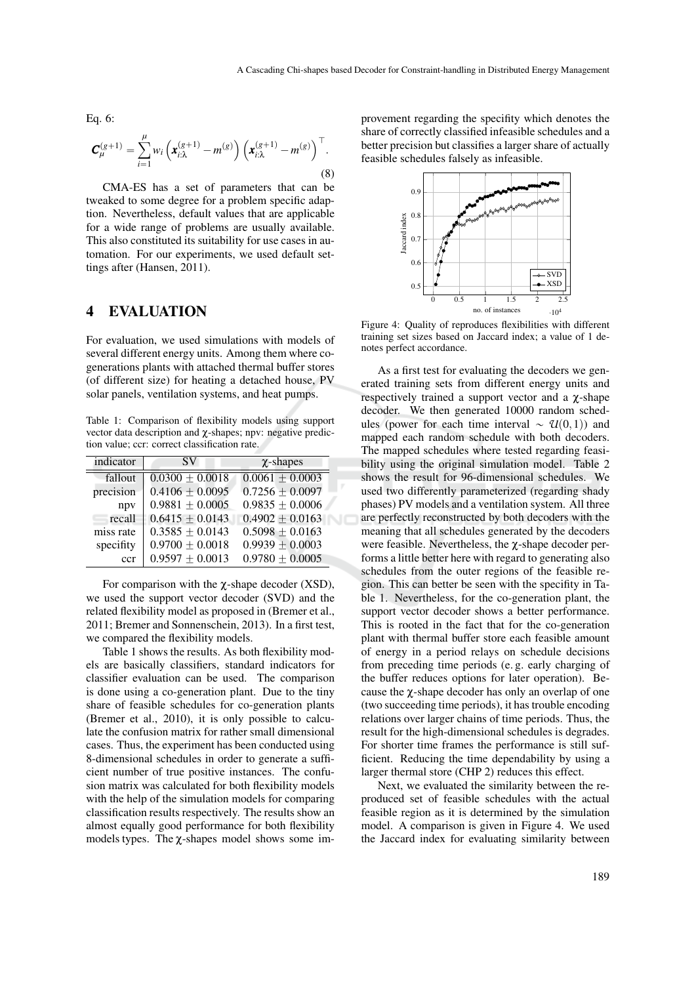Eq. 6:

$$
\mathbf{C}_{\mu}^{(g+1)} = \sum_{i=1}^{\mu} w_i \left( \mathbf{x}_{i:\lambda}^{(g+1)} - m^{(g)} \right) \left( \mathbf{x}_{i:\lambda}^{(g+1)} - m^{(g)} \right)^{\top}.
$$
\n(8)

CMA-ES has a set of parameters that can be tweaked to some degree for a problem specific adaption. Nevertheless, default values that are applicable for a wide range of problems are usually available. This also constituted its suitability for use cases in automation. For our experiments, we used default settings after (Hansen, 2011).

### 4 EVALUATION

For evaluation, we used simulations with models of several different energy units. Among them where cogenerations plants with attached thermal buffer stores (of different size) for heating a detached house, PV solar panels, ventilation systems, and heat pumps.

Table 1: Comparison of flexibility models using support vector data description and χ-shapes; npv: negative prediction value; ccr: correct classification rate.

| indicator | SV.                 | $\chi$ -shapes      |
|-----------|---------------------|---------------------|
| fallout   | $0.0300 \pm 0.0018$ | $0.0061 \pm 0.0003$ |
| precision | $0.4106 \pm 0.0095$ | $0.7256 \pm 0.0097$ |
| npy       | $0.9881 \pm 0.0005$ | $0.9835 \pm 0.0006$ |
| recall    | $0.6415 \pm 0.0143$ | $0.4902 \pm 0.0163$ |
| miss rate | $0.3585 \pm 0.0143$ | $0.5098 \pm 0.0163$ |
| specifity | $0.9700 \pm 0.0018$ | $0.9939 \pm 0.0003$ |
| ccr       | $0.9597 \pm 0.0013$ | $0.9780 \pm 0.0005$ |

For comparison with the  $\chi$ -shape decoder (XSD), we used the support vector decoder (SVD) and the related flexibility model as proposed in (Bremer et al., 2011; Bremer and Sonnenschein, 2013). In a first test, we compared the flexibility models.

Table 1 shows the results. As both flexibility models are basically classifiers, standard indicators for classifier evaluation can be used. The comparison is done using a co-generation plant. Due to the tiny share of feasible schedules for co-generation plants (Bremer et al., 2010), it is only possible to calculate the confusion matrix for rather small dimensional cases. Thus, the experiment has been conducted using 8-dimensional schedules in order to generate a sufficient number of true positive instances. The confusion matrix was calculated for both flexibility models with the help of the simulation models for comparing classification results respectively. The results show an almost equally good performance for both flexibility models types. The  $\gamma$ -shapes model shows some improvement regarding the specifity which denotes the share of correctly classified infeasible schedules and a better precision but classifies a larger share of actually feasible schedules falsely as infeasible.



Figure 4: Quality of reproduces flexibilities with different training set sizes based on Jaccard index; a value of 1 denotes perfect accordance.

As a first test for evaluating the decoders we generated training sets from different energy units and respectively trained a support vector and a χ-shape decoder. We then generated 10000 random schedules (power for each time interval  $\sim \mathcal{U}(0,1)$ ) and mapped each random schedule with both decoders. The mapped schedules where tested regarding feasibility using the original simulation model. Table 2 shows the result for 96-dimensional schedules. We used two differently parameterized (regarding shady phases) PV models and a ventilation system. All three are perfectly reconstructed by both decoders with the meaning that all schedules generated by the decoders were feasible. Nevertheless, the χ-shape decoder performs a little better here with regard to generating also schedules from the outer regions of the feasible region. This can better be seen with the specifity in Table 1. Nevertheless, for the co-generation plant, the support vector decoder shows a better performance. This is rooted in the fact that for the co-generation plant with thermal buffer store each feasible amount of energy in a period relays on schedule decisions from preceding time periods (e. g. early charging of the buffer reduces options for later operation). Because the χ-shape decoder has only an overlap of one (two succeeding time periods), it has trouble encoding relations over larger chains of time periods. Thus, the result for the high-dimensional schedules is degrades. For shorter time frames the performance is still sufficient. Reducing the time dependability by using a larger thermal store (CHP 2) reduces this effect.

Next, we evaluated the similarity between the reproduced set of feasible schedules with the actual feasible region as it is determined by the simulation model. A comparison is given in Figure 4. We used the Jaccard index for evaluating similarity between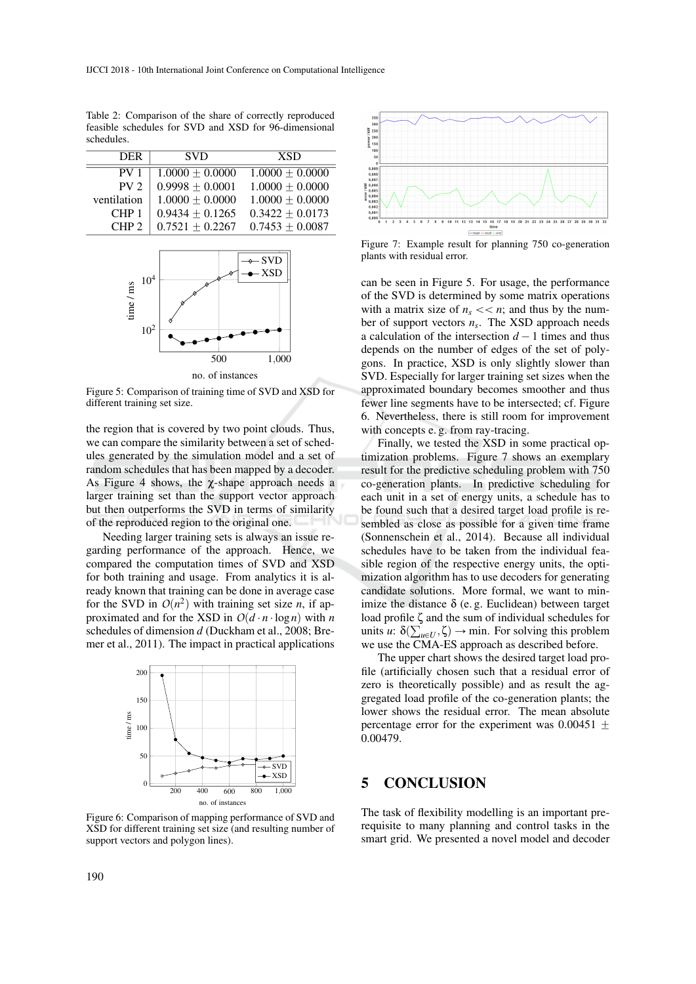DER SVD XSD  $\begin{array}{|l|l|l|} \hline \text{PV 1} & 1.0000 \pm 0.0000 & 1.0000 \pm 0.0000 \\ \hline \text{PV 2} & 0.9998 \pm 0.0001 & 1.0000 \pm 0.0000 \\ \hline \end{array}$ PV 2  $\begin{bmatrix} 0.9998 \pm 0.0001 & 1.0000 \pm 0.0000 \\ 1.0000 + 0.0000 & 1.0000 + 0.0000 \end{bmatrix}$ tilation  $\begin{array}{c|c} 1.0000 \pm 0.0000 & 1.0000 \pm 0.0000 \\ \text{CHP 1} & 0.9434 + 0.1265 & 0.3422 + 0.0173 \end{array}$ CHP 1  $\begin{array}{|l} 0.9434 \pm 0.1265 & 0.3422 \pm 0.0173 \\ 0.7521 \pm 0.2267 & 0.7453 \pm 0.0087 \end{array}$  $0.7521 \pm 0.2267$ 

Table 2: Comparison of the share of correctly reproduced feasible schedules for SVD and XSD for 96-dimensional schedules.



Figure 5: Comparison of training time of SVD and XSD for different training set size.

the region that is covered by two point clouds. Thus, we can compare the similarity between a set of schedules generated by the simulation model and a set of random schedules that has been mapped by a decoder. As Figure 4 shows, the  $\chi$ -shape approach needs a larger training set than the support vector approach but then outperforms the SVD in terms of similarity of the reproduced region to the original one.

Needing larger training sets is always an issue regarding performance of the approach. Hence, we compared the computation times of SVD and XSD for both training and usage. From analytics it is already known that training can be done in average case for the SVD in  $O(n^2)$  with training set size *n*, if approximated and for the XSD in  $O(d \cdot n \cdot \log n)$  with *n* schedules of dimension *d* (Duckham et al., 2008; Bremer et al., 2011). The impact in practical applications



Figure 6: Comparison of mapping performance of SVD and XSD for different training set size (and resulting number of support vectors and polygon lines).



Figure 7: Example result for planning 750 co-generation plants with residual error.

can be seen in Figure 5. For usage, the performance of the SVD is determined by some matrix operations with a matrix size of  $n_s \ll n$ ; and thus by the number of support vectors *n<sup>s</sup>* . The XSD approach needs a calculation of the intersection  $d - 1$  times and thus depends on the number of edges of the set of polygons. In practice, XSD is only slightly slower than SVD. Especially for larger training set sizes when the approximated boundary becomes smoother and thus fewer line segments have to be intersected; cf. Figure 6. Nevertheless, there is still room for improvement with concepts e.g. from ray-tracing.

Finally, we tested the XSD in some practical optimization problems. Figure 7 shows an exemplary result for the predictive scheduling problem with 750 co-generation plants. In predictive scheduling for each unit in a set of energy units, a schedule has to be found such that a desired target load profile is resembled as close as possible for a given time frame (Sonnenschein et al., 2014). Because all individual schedules have to be taken from the individual feasible region of the respective energy units, the optimization algorithm has to use decoders for generating candidate solutions. More formal, we want to minimize the distance  $\delta$  (e.g. Euclidean) between target load profile ζ and the sum of individual schedules for units  $u: \delta(\sum_{u \in U}, \zeta) \to \min$ . For solving this problem we use the CMA-ES approach as described before.

The upper chart shows the desired target load profile (artificially chosen such that a residual error of zero is theoretically possible) and as result the aggregated load profile of the co-generation plants; the lower shows the residual error. The mean absolute percentage error for the experiment was  $0.00451 \pm$ 0.00479.

### 5 CONCLUSION

The task of flexibility modelling is an important prerequisite to many planning and control tasks in the smart grid. We presented a novel model and decoder